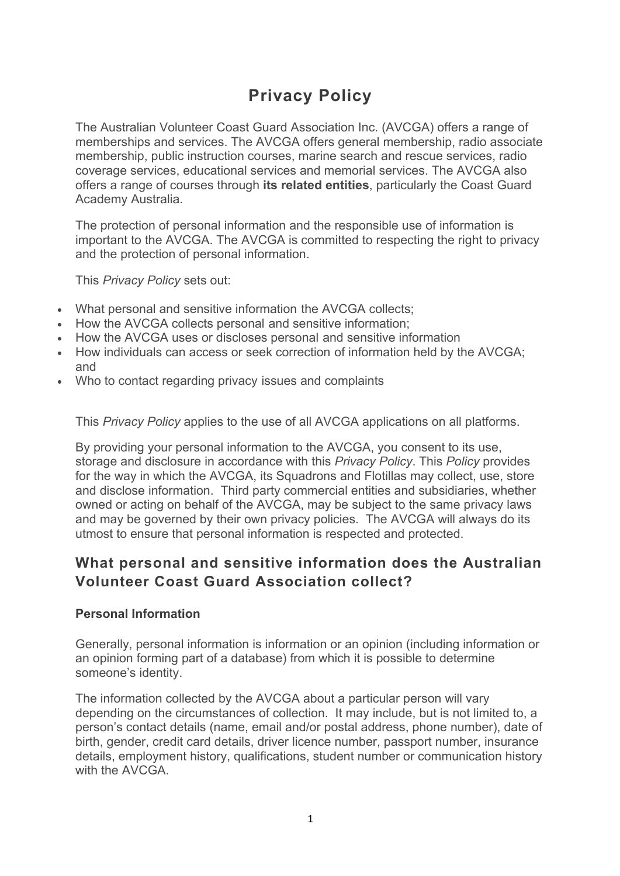# **Privacy Policy**

The Australian Volunteer Coast Guard Association Inc. (AVCGA) offers a range of memberships and services. The AVCGA offers general membership, radio associate membership, public instruction courses, marine search and rescue services, radio coverage services, educational services and memorial services. The AVCGA also offers a range of courses through **its related entities**, particularly the Coast Guard Academy Australia.

The protection of personal information and the responsible use of information is important to the AVCGA. The AVCGA is committed to respecting the right to privacy and the protection of personal information.

This *Privacy Policy* sets out:

- What personal and sensitive information the AVCGA collects;
- How the AVCGA collects personal and sensitive information;
- How the AVCGA uses or discloses personal and sensitive information
- How individuals can access or seek correction of information held by the AVCGA; and
- Who to contact regarding privacy issues and complaints

This *Privacy Policy* applies to the use of all AVCGA applications on all platforms.

By providing your personal information to the AVCGA, you consent to its use, storage and disclosure in accordance with this *Privacy Policy*. This *Policy* provides for the way in which the AVCGA, its Squadrons and Flotillas may collect, use, store and disclose information. Third party commercial entities and subsidiaries, whether owned or acting on behalf of the AVCGA, may be subject to the same privacy laws and may be governed by their own privacy policies. The AVCGA will always do its utmost to ensure that personal information is respected and protected.

# **What personal and sensitive information does the Australian Volunteer Coast Guard Association collect?**

### **Personal Information**

Generally, personal information is information or an opinion (including information or an opinion forming part of a database) from which it is possible to determine someone's identity.

The information collected by the AVCGA about a particular person will vary depending on the circumstances of collection. It may include, but is not limited to, a person's contact details (name, email and/or postal address, phone number), date of birth, gender, credit card details, driver licence number, passport number, insurance details, employment history, qualifications, student number or communication history with the AVCGA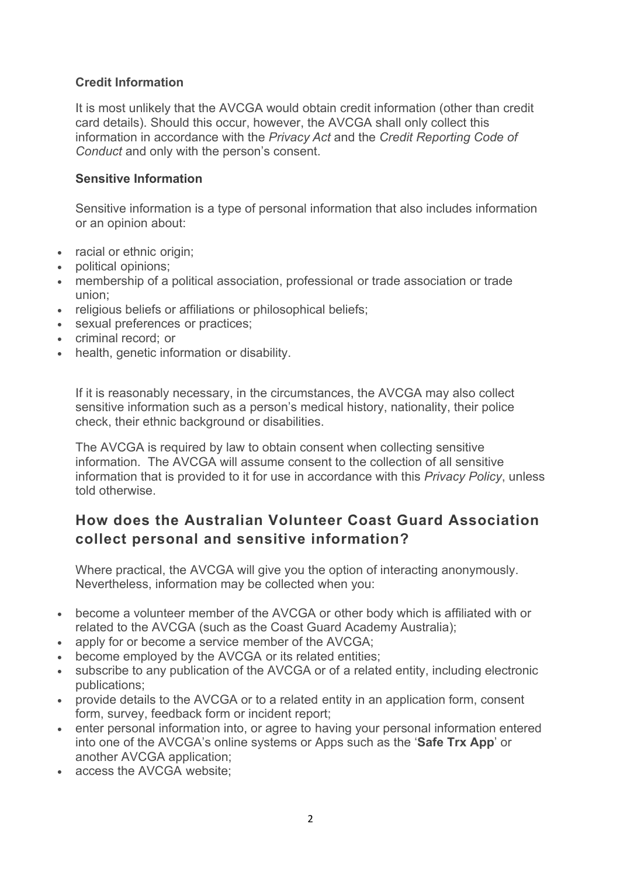## **Credit Information**

It is most unlikely that the AVCGA would obtain credit information (other than credit card details). Should this occur, however, the AVCGA shall only collect this information in accordance with the *Privacy Act* and the *Credit Reporting Code of Conduct* and only with the person's consent.

### **Sensitive Information**

Sensitive information is a type of personal information that also includes information or an opinion about:

- racial or ethnic origin:
- political opinions;
- membership of a political association, professional or trade association or trade union;
- religious beliefs or affiliations or philosophical beliefs:
- sexual preferences or practices;
- criminal record; or
- health, genetic information or disability.

If it is reasonably necessary, in the circumstances, the AVCGA may also collect sensitive information such as a person's medical history, nationality, their police check, their ethnic background or disabilities.

The AVCGA is required by law to obtain consent when collecting sensitive information. The AVCGA will assume consent to the collection of all sensitive information that is provided to it for use in accordance with this *Privacy Policy*, unless told otherwise.

# **How does the Australian Volunteer Coast Guard Association collect personal and sensitive information?**

Where practical, the AVCGA will give you the option of interacting anonymously. Nevertheless, information may be collected when you:

- become a volunteer member of the AVCGA or other body which is affiliated with or related to the AVCGA (such as the Coast Guard Academy Australia);
- apply for or become a service member of the AVCGA;
- become employed by the AVCGA or its related entities;
- subscribe to any publication of the AVCGA or of a related entity, including electronic publications;
- provide details to the AVCGA or to a related entity in an application form, consent form, survey, feedback form or incident report;
- enter personal information into, or agree to having your personal information entered into one of the AVCGA's online systems or Apps such as the '**Safe Trx App**' or another AVCGA application;
- access the AVCGA website;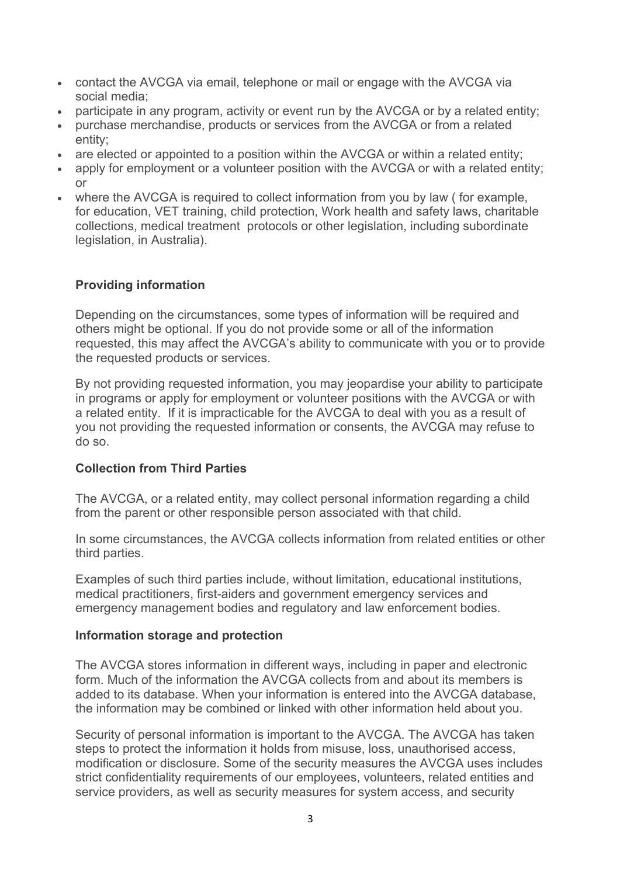- contact the AVCGA via email, telephone or mail or engage with the AVCGA via social media;
- participate in any program, activity or event run by the AVCGA or by a related entity;
- purchase merchandise, products or services from the AVCGA or from a related entity;
- are elected or appointed to a position within the AVCGA or within a related entity;
- apply for employment or a volunteer position with the AVCGA or with a related entity: or
- where the AVCGA is required to collect information from you by law (for example, for education, VET training, child protection, Work health and safety laws, charitable collections, medical treatment protocols or other legislation, including subordinate legislation, in Australia).

# **Providing information**

Depending on the circumstances, some types of information will be required and others might be optional. If you do not provide some or all of the information requested, this may affect the AVCGA's ability to communicate with you or to provide the requested products or services.

By not providing requested information, you may jeopardise your ability to participate in programs or apply for employment or volunteer positions with the AVCGA or with a related entity. If it is impracticable for the AVCGA to deal with you as a result of you not providing the requested information or consents, the AVCGA may refuse to do so.

## **Collection from Third Parties**

The AVCGA, or a related entity, may collect personal information regarding a child from the parent or other responsible person associated with that child.

In some circumstances, the AVCGA collects information from related entities or other third parties.

Examples of such third parties include, without limitation, educational institutions, medical practitioners, first-aiders and government emergency services and emergency management bodies and regulatory and law enforcement bodies.

## **Information storage and protection**

The AVCGA stores information in different ways, including in paper and electronic form. Much of the information the AVCGA collects from and about its members is added to its database. When your information is entered into the AVCGA database, the information may be combined or linked with other information held about you.

Security of personal information is important to the AVCGA. The AVCGA has taken steps to protect the information it holds from misuse, loss, unauthorised access, modification or disclosure. Some of the security measures the AVCGA uses includes strict confidentiality requirements of our employees, volunteers, related entities and service providers, as well as security measures for system access, and security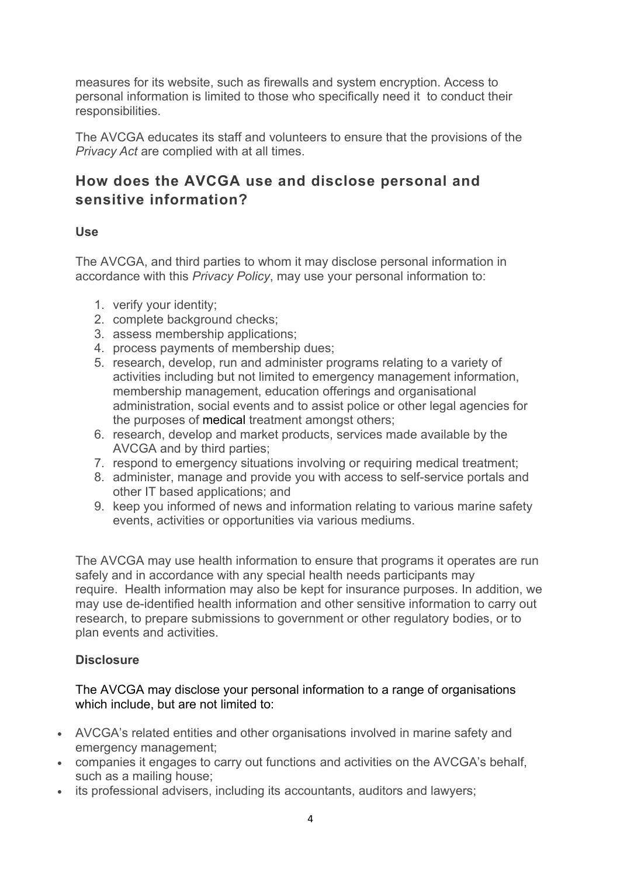measures for its website, such as firewalls and system encryption. Access to personal information is limited to those who specifically need it to conduct their responsibilities.

The AVCGA educates its staff and volunteers to ensure that the provisions of the *Privacy Act* are complied with at all times.

# **How does the AVCGA use and disclose personal and sensitive information?**

## **Use**

The AVCGA, and third parties to whom it may disclose personal information in accordance with this *Privacy Policy*, may use your personal information to:

- 1. verify your identity;
- 2. complete background checks;
- 3. assess membership applications;
- 4. process payments of membership dues;
- 5. research, develop, run and administer programs relating to a variety of activities including but not limited to emergency management information, membership management, education offerings and organisational administration, social events and to assist police or other legal agencies for the purposes of medical treatment amongst others;
- 6. research, develop and market products, services made available by the AVCGA and by third parties;
- 7. respond to emergency situations involving or requiring medical treatment;
- 8. administer, manage and provide you with access to self-service portals and other IT based applications; and
- 9. keep you informed of news and information relating to various marine safety events, activities or opportunities via various mediums.

The AVCGA may use health information to ensure that programs it operates are run safely and in accordance with any special health needs participants may require. Health information may also be kept for insurance purposes. In addition, we may use de-identified health information and other sensitive information to carry out research, to prepare submissions to government or other regulatory bodies, or to plan events and activities.

## **Disclosure**

### The AVCGA may disclose your personal information to a range of organisations which include, but are not limited to:

- AVCGA's related entities and other organisations involved in marine safety and emergency management;
- companies it engages to carry out functions and activities on the AVCGA's behalf, such as a mailing house;
- its professional advisers, including its accountants, auditors and lawyers;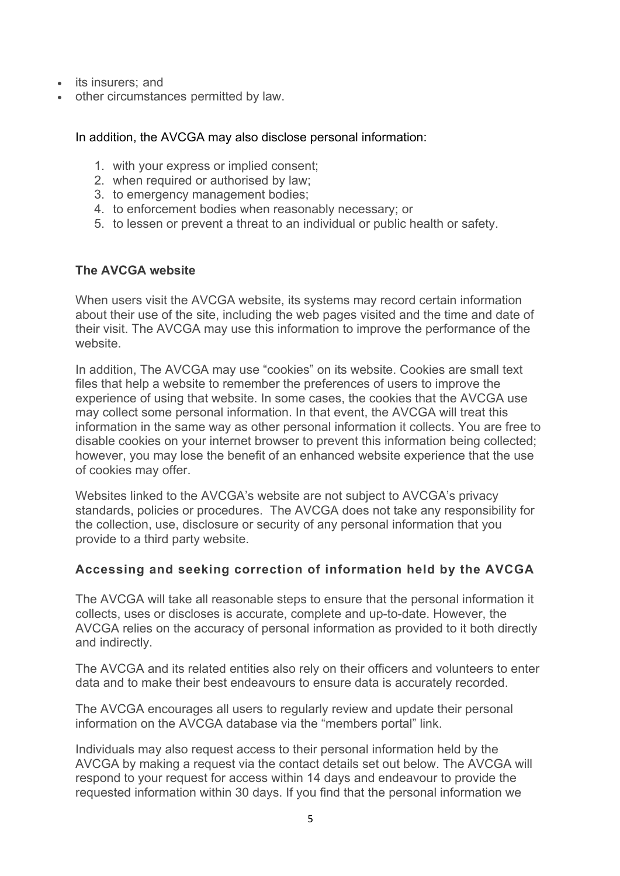- its insurers; and
- other circumstances permitted by law.

#### In addition, the AVCGA may also disclose personal information:

- 1. with your express or implied consent;
- 2. when required or authorised by law;
- 3. to emergency management bodies;
- 4. to enforcement bodies when reasonably necessary; or
- 5. to lessen or prevent a threat to an individual or public health or safety.

### **The AVCGA website**

When users visit the AVCGA website, its systems may record certain information about their use of the site, including the web pages visited and the time and date of their visit. The AVCGA may use this information to improve the performance of the website.

In addition, The AVCGA may use "cookies" on its website. Cookies are small text files that help a website to remember the preferences of users to improve the experience of using that website. In some cases, the cookies that the AVCGA use may collect some personal information. In that event, the AVCGA will treat this information in the same way as other personal information it collects. You are free to disable cookies on your internet browser to prevent this information being collected; however, you may lose the benefit of an enhanced website experience that the use of cookies may offer.

Websites linked to the AVCGA's website are not subject to AVCGA's privacy standards, policies or procedures. The AVCGA does not take any responsibility for the collection, use, disclosure or security of any personal information that you provide to a third party website.

### **Accessing and seeking correction of information held by the AVCGA**

The AVCGA will take all reasonable steps to ensure that the personal information it collects, uses or discloses is accurate, complete and up-to-date. However, the AVCGA relies on the accuracy of personal information as provided to it both directly and indirectly.

The AVCGA and its related entities also rely on their officers and volunteers to enter data and to make their best endeavours to ensure data is accurately recorded.

The AVCGA encourages all users to regularly review and update their personal information on the AVCGA database via the "members portal" link.

Individuals may also request access to their personal information held by the AVCGA by making a request via the contact details set out below. The AVCGA will respond to your request for access within 14 days and endeavour to provide the requested information within 30 days. If you find that the personal information we